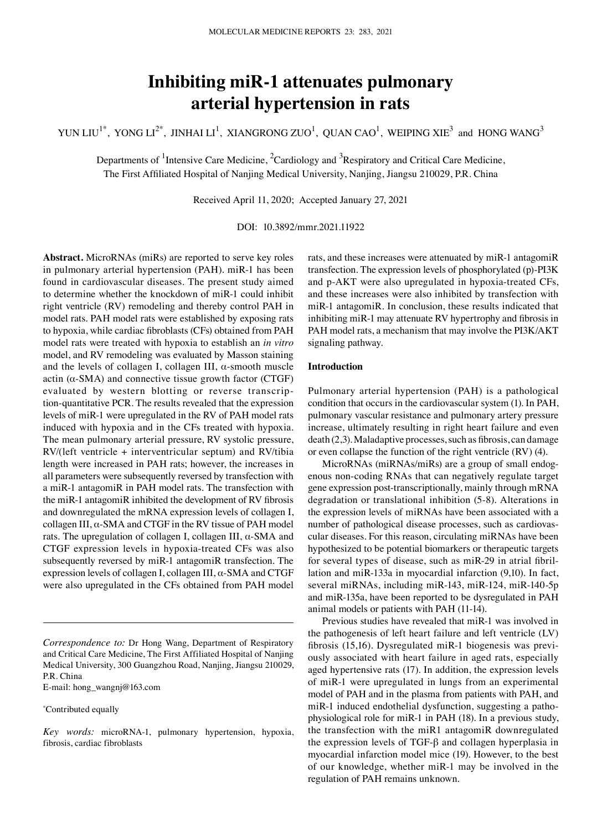# **Inhibiting miR‑1 attenuates pulmonary arterial hypertension in rats**

YUN LIU<sup>1\*</sup>, YONG LI<sup>2\*</sup>, JINHAI LI<sup>1</sup>, XIANGRONG ZUO<sup>1</sup>, QUAN CAO<sup>1</sup>, WEIPING XIE<sup>3</sup> and HONG WANG<sup>3</sup>

Departments of <sup>1</sup>Intensive Care Medicine, <sup>2</sup>Cardiology and <sup>3</sup>Respiratory and Critical Care Medicine, The First Affiliated Hospital of Nanjing Medical University, Nanjing, Jiangsu 210029, P.R. China

Received April 11, 2020; Accepted January 27, 2021

DOI: 10.3892/mmr.2021.11922

**Abstract.** MicroRNAs (miRs) are reported to serve key roles in pulmonary arterial hypertension (PAH). miR-1 has been found in cardiovascular diseases. The present study aimed to determine whether the knockdown of miR‑1 could inhibit right ventricle (RV) remodeling and thereby control PAH in model rats. PAH model rats were established by exposing rats to hypoxia, while cardiac fibroblasts (CFs) obtained from PAH model rats were treated with hypoxia to establish an *in vitro*  model, and RV remodeling was evaluated by Masson staining and the levels of collagen I, collagen III,  $\alpha$ -smooth muscle actin  $(\alpha$ -SMA) and connective tissue growth factor (CTGF) evaluated by western blotting or reverse transcription‑quantitative PCR. The results revealed that the expression levels of miR‑1 were upregulated in the RV of PAH model rats induced with hypoxia and in the CFs treated with hypoxia. The mean pulmonary arterial pressure, RV systolic pressure, RV/(left ventricle + interventricular septum) and RV/tibia length were increased in PAH rats; however, the increases in all parameters were subsequently reversed by transfection with a miR‑1 antagomiR in PAH model rats. The transfection with the miR‑1 antagomiR inhibited the development of RV fibrosis and downregulated the mRNA expression levels of collagen I, collagen III, α‑SMA and CTGF in the RV tissue of PAH model rats. The upregulation of collagen I, collagen III,  $\alpha$ -SMA and CTGF expression levels in hypoxia‑treated CFs was also subsequently reversed by miR-1 antagomiR transfection. The expression levels of collagen I, collagen III,  $\alpha$ -SMA and CTGF were also upregulated in the CFs obtained from PAH model

E‑mail: hong\_wangnj@163.com

\* Contributed equally

rats, and these increases were attenuated by miR‑1 antagomiR transfection. The expression levels of phosphorylated (p)‑PI3K and p-AKT were also upregulated in hypoxia-treated CFs, and these increases were also inhibited by transfection with miR-1 antagomiR. In conclusion, these results indicated that inhibiting miR-1 may attenuate RV hypertrophy and fibrosis in PAH model rats, a mechanism that may involve the PI3K/AKT signaling pathway.

## **Introduction**

Pulmonary arterial hypertension (PAH) is a pathological condition that occurs in the cardiovascular system (1). In PAH, pulmonary vascular resistance and pulmonary artery pressure increase, ultimately resulting in right heart failure and even death (2,3). Maladaptive processes, such as fibrosis, can damage or even collapse the function of the right ventricle (RV) (4).

MicroRNAs (miRNAs/miRs) are a group of small endogenous non‑coding RNAs that can negatively regulate target gene expression post-transcriptionally, mainly through mRNA degradation or translational inhibition (5‑8). Alterations in the expression levels of miRNAs have been associated with a number of pathological disease processes, such as cardiovascular diseases. For this reason, circulating miRNAs have been hypothesized to be potential biomarkers or therapeutic targets for several types of disease, such as miR-29 in atrial fibrillation and miR‑133a in myocardial infarction (9,10). In fact, several miRNAs, including miR-143, miR-124, miR-140-5p and miR‑135a, have been reported to be dysregulated in PAH animal models or patients with PAH (11‑14).

Previous studies have revealed that miR-1 was involved in the pathogenesis of left heart failure and left ventricle (LV) fibrosis (15,16). Dysregulated miR-1 biogenesis was previously associated with heart failure in aged rats, especially aged hypertensive rats (17). In addition, the expression levels of miR‑1 were upregulated in lungs from an experimental model of PAH and in the plasma from patients with PAH, and miR-1 induced endothelial dysfunction, suggesting a pathophysiological role for miR‑1 in PAH (18). In a previous study, the transfection with the miR1 antagomiR downregulated the expression levels of TGF‑β and collagen hyperplasia in myocardial infarction model mice (19). However, to the best of our knowledge, whether miR‑1 may be involved in the regulation of PAH remains unknown.

*Correspondence to:* Dr Hong Wang, Department of Respiratory and Critical Care Medicine, The First Affiliated Hospital of Nanjing Medical University, 300 Guangzhou Road, Nanjing, Jiangsu 210029, P.R. China

*Key words:* microRNA‑1, pulmonary hypertension, hypoxia, fibrosis, cardiac fibroblasts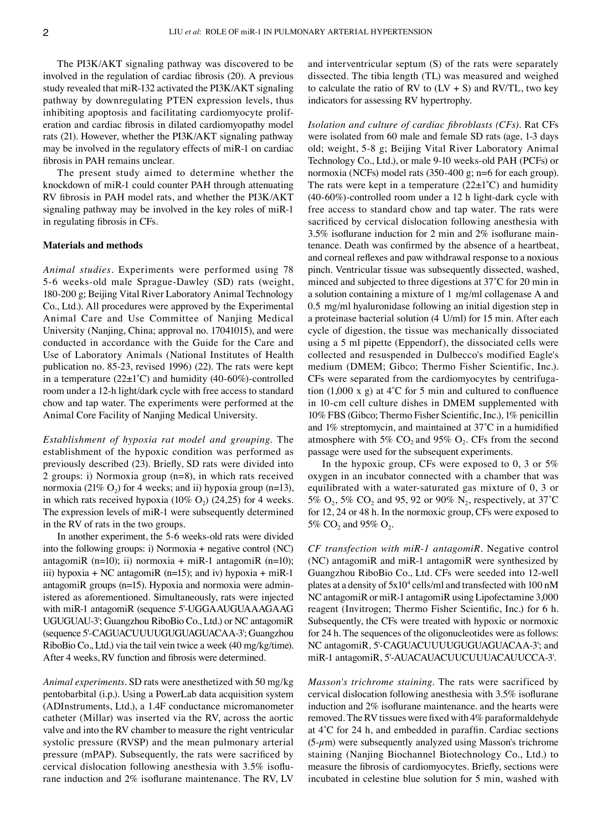The PI3K/AKT signaling pathway was discovered to be involved in the regulation of cardiac fibrosis (20). A previous study revealed that miR‑132 activated the PI3K/AKT signaling pathway by downregulating PTEN expression levels, thus inhibiting apoptosis and facilitating cardiomyocyte proliferation and cardiac fibrosis in dilated cardiomyopathy model rats (21). However, whether the PI3K/AKT signaling pathway may be involved in the regulatory effects of miR-1 on cardiac fibrosis in PAH remains unclear.

The present study aimed to determine whether the knockdown of miR‑1 could counter PAH through attenuating RV fibrosis in PAH model rats, and whether the PI3K/AKT signaling pathway may be involved in the key roles of miR-1 in regulating fibrosis in CFs.

### **Materials and methods**

*Animal studies.* Experiments were performed using 78 5‑6 weeks‑old male Sprague‑Dawley (SD) rats (weight, 180‑200 g; Beijing Vital River Laboratory Animal Technology Co., Ltd.). All procedures were approved by the Experimental Animal Care and Use Committee of Nanjing Medical University (Nanjing, China; approval no. 17041015), and were conducted in accordance with the Guide for the Care and Use of Laboratory Animals (National Institutes of Health publication no. 85‑23, revised 1996) (22). The rats were kept in a temperature  $(22\pm1^{\circ}C)$  and humidity (40-60%)-controlled room under a 12‑h light/dark cycle with free access to standard chow and tap water. The experiments were performed at the Animal Core Facility of Nanjing Medical University.

*Establishment of hypoxia rat model and grouping.* The establishment of the hypoxic condition was performed as previously described (23). Briefly, SD rats were divided into 2 groups: i) Normoxia group (n=8), in which rats received normoxia (21%  $O_2$ ) for 4 weeks; and ii) hypoxia group (n=13), in which rats received hypoxia  $(10\% \text{ O}_2)$   $(24,25)$  for 4 weeks. The expression levels of miR-1 were subsequently determined in the RV of rats in the two groups.

In another experiment, the 5‑6 weeks‑old rats were divided into the following groups: i) Normoxia + negative control (NC) antagomiR (n=10); ii) normoxia + miR-1 antagomiR (n=10); iii) hypoxia + NC antagomiR (n=15); and iv) hypoxia + miR-1 antagomiR groups  $(n=15)$ . Hypoxia and normoxia were administered as aforementioned. Simultaneously, rats were injected with miR-1 antagomiR (sequence 5'-UGGAAUGUAAAGAAG UGUGUAU‑3'; Guangzhou RiboBio Co., Ltd.) or NC antagomiR (sequence 5'‑CAGUACUUUUGUGUAGUACAA‑3'; Guangzhou RiboBio Co., Ltd.) via the tail vein twice a week (40 mg/kg/time). After 4 weeks, RV function and fibrosis were determined.

*Animal experiments.* SD rats were anesthetized with 50 mg/kg pentobarbital (i.p.). Using a PowerLab data acquisition system (ADInstruments, Ltd.), a 1.4F conductance micromanometer catheter (Millar) was inserted via the RV, across the aortic valve and into the RV chamber to measure the right ventricular systolic pressure (RVSP) and the mean pulmonary arterial pressure (mPAP). Subsequently, the rats were sacrificed by cervical dislocation following anesthesia with 3.5% isoflurane induction and 2% isoflurane maintenance. The RV, LV and interventricular septum (S) of the rats were separately dissected. The tibia length (TL) was measured and weighed to calculate the ratio of RV to  $(LV + S)$  and RV/TL, two key indicators for assessing RV hypertrophy.

*Isolation and culture of cardiac fibroblasts (CFs).* Rat CFs were isolated from 60 male and female SD rats (age, 1-3 days old; weight, 5‑8 g; Beijing Vital River Laboratory Animal Technology Co., Ltd.), or male 9-10 weeks-old PAH (PCFs) or normoxia (NCFs) model rats (350‑400 g; n=6 for each group). The rats were kept in a temperature  $(22\pm1^{\circ}C)$  and humidity (40‑60%)‑controlled room under a 12 h light‑dark cycle with free access to standard chow and tap water. The rats were sacrificed by cervical dislocation following anesthesia with 3.5% isoflurane induction for 2 min and  $2\%$  isoflurane maintenance. Death was confirmed by the absence of a heartbeat, and corneal reflexes and paw withdrawal response to a noxious pinch. Ventricular tissue was subsequently dissected, washed, minced and subjected to three digestions at 37˚C for 20 min in a solution containing a mixture of 1 mg/ml collagenase A and 0.5 mg/ml hyaluronidase following an initial digestion step in a proteinase bacterial solution (4 U/ml) for 15 min. After each cycle of digestion, the tissue was mechanically dissociated using a 5 ml pipette (Eppendorf), the dissociated cells were collected and resuspended in Dulbecco's modified Eagle's medium (DMEM; Gibco; Thermo Fisher Scientific, Inc.). CFs were separated from the cardiomyocytes by centrifugation  $(1,000 \times g)$  at 4°C for 5 min and cultured to confluence in 10‑cm cell culture dishes in DMEM supplemented with 10% FBS (Gibco; Thermo Fisher Scientific, Inc.), 1% penicillin and 1% streptomycin, and maintained at 37˚C in a humidified atmosphere with 5%  $CO<sub>2</sub>$  and 95%  $O<sub>2</sub>$ . CFs from the second passage were used for the subsequent experiments.

In the hypoxic group, CFs were exposed to 0, 3 or 5% oxygen in an incubator connected with a chamber that was equilibrated with a water‑saturated gas mixture of 0, 3 or 5%  $O_2$ , 5%  $CO_2$  and 95, 92 or 90% N<sub>2</sub>, respectively, at 37<sup>°</sup>C for 12, 24 or 48 h. In the normoxic group, CFs were exposed to 5%  $CO_2$  and 95%  $O_2$ .

*CF transfection with miR‑1 antagomiR.* Negative control (NC) antagomiR and miR‑1 antagomiR were synthesized by Guangzhou RiboBio Co., Ltd. CFs were seeded into 12‑well plates at a density of 5x104 cells/ml and transfected with 100 nM NC antagomiR or miR‑1 antagomiR using Lipofectamine 3,000 reagent (Invitrogen; Thermo Fisher Scientific, Inc.) for 6 h. Subsequently, the CFs were treated with hypoxic or normoxic for 24 h. The sequences of the oligonucleotides were as follows: NC antagomiR, 5'‑CAGUACUUUUGUGUAGUACAA‑3'; and miR‑1 antagomiR, 5'‑AUACAUACUUCUUUACAUUCCA‑3'.

*Masson's trichrome staining.* The rats were sacrificed by cervical dislocation following anesthesia with 3.5% isoflurane induction and 2% isoflurane maintenance. and the hearts were removed. The RV tissues were fixed with 4% paraformaldehyde at 4˚C for 24 h, and embedded in paraffin. Cardiac sections  $(5-\mu m)$  were subsequently analyzed using Masson's trichrome staining (Nanjing Biochannel Biotechnology Co., Ltd.) to measure the fibrosis of cardiomyocytes. Briefly, sections were incubated in celestine blue solution for 5 min, washed with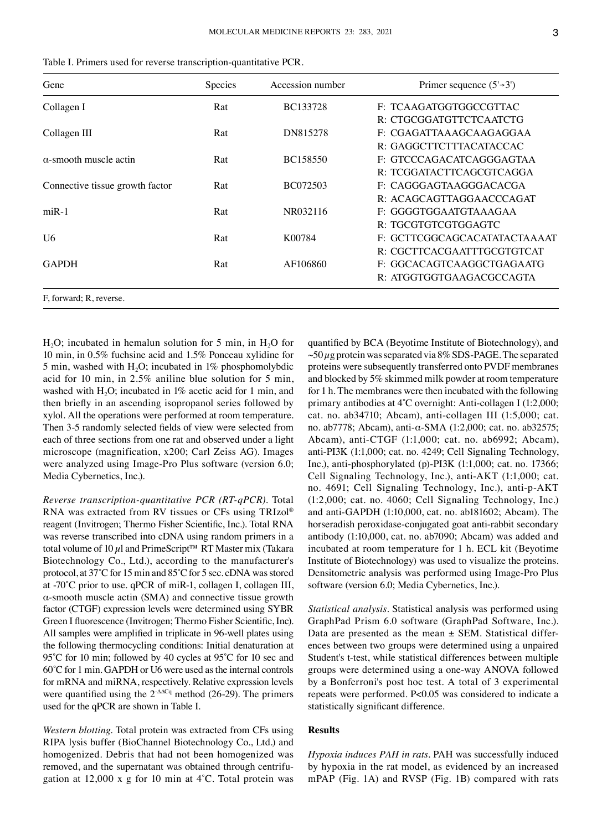|  |  |  |  |  |  |  |  |  | Table I. Primers used for reverse transcription-quantitative PCR. |  |
|--|--|--|--|--|--|--|--|--|-------------------------------------------------------------------|--|
|--|--|--|--|--|--|--|--|--|-------------------------------------------------------------------|--|

| Gene                            | Species | Accession number | Primer sequence $(5\rightarrow 3')$ |
|---------------------------------|---------|------------------|-------------------------------------|
| Collagen I                      | Rat     | <b>BC133728</b>  | F: TCAAGATGGTGGCCGTTAC              |
|                                 |         |                  | R: CTGCGGATGTTCTCAATCTG             |
| Collagen III                    | Rat     | DN815278         | F: CGAGATTAAAGCAAGAGGAA             |
|                                 |         |                  | R: GAGGCTTCTTTACATACCAC             |
| $\alpha$ -smooth muscle actin   | Rat     | BC158550         | F: GTCCCAGACATCAGGGAGTAA            |
|                                 |         |                  | R: TCGGATACTTCAGCGTCAGGA            |
| Connective tissue growth factor | Rat     | BC072503         | F: CAGGGAGTAAGGGACACGA              |
|                                 |         |                  | R: ACAGCAGTTAGGAACCCAGAT            |
| $miR-1$                         | Rat     | NR032116         | F: GGGGTGGAATGTAAAGAA               |
|                                 |         |                  | R: TGCGTGTCGTGGAGTC                 |
| U <sub>6</sub>                  | Rat     | K00784           | F: GCTTCGGCAGCACATATACTAAAAT        |
|                                 |         |                  | R: CGCTTCACGAATTTGCGTGTCAT          |
| <b>GAPDH</b>                    | Rat     | AF106860         | F: GGCACAGTCAAGGCTGAGAATG           |
|                                 |         |                  | R: ATGGTGGTGAAGACGCCAGTA            |
| F, forward; R, reverse.         |         |                  |                                     |

 $H<sub>2</sub>O$ ; incubated in hemalun solution for 5 min, in  $H<sub>2</sub>O$  for 10 min, in 0.5% fuchsine acid and 1.5% Ponceau xylidine for 5 min, washed with H<sub>2</sub>O; incubated in 1% phosphomolybdic acid for 10 min, in 2.5% aniline blue solution for 5 min, washed with H<sub>2</sub>O; incubated in  $1\%$  acetic acid for 1 min, and then briefly in an ascending isopropanol series followed by xylol. All the operations were performed at room temperature. Then 3-5 randomly selected fields of view were selected from each of three sections from one rat and observed under a light microscope (magnification, x200; Carl Zeiss AG). Images were analyzed using Image-Pro Plus software (version 6.0; Media Cybernetics, Inc.).

*Reverse transcription‑quantitative PCR (RT‑qPCR).* Total RNA was extracted from RV tissues or CFs using TRIzol® reagent (Invitrogen; Thermo Fisher Scientific, Inc.). Total RNA was reverse transcribed into cDNA using random primers in a total volume of 10  $\mu$ l and PrimeScript<sup>™</sup> RT Master mix (Takara Biotechnology Co., Ltd.), according to the manufacturer's protocol, at 37˚C for 15 min and 85˚C for 5 sec. cDNA was stored at ‑70˚C prior to use. qPCR of miR‑1, collagen I, collagen III,  $\alpha$ -smooth muscle actin (SMA) and connective tissue growth factor (CTGF) expression levels were determined using SYBR Green I fluorescence (Invitrogen; Thermo Fisher Scientific, Inc). All samples were amplified in triplicate in 96‑well plates using the following thermocycling conditions: Initial denaturation at 95°C for 10 min; followed by 40 cycles at 95°C for 10 sec and 60˚C for 1 min. GAPDH or U6 were used as the internal controls for mRNA and miRNA, respectively. Relative expression levels were quantified using the 2<sup>-∆∆Cq</sup> method (26-29). The primers used for the qPCR are shown in Table I.

*Western blotting.* Total protein was extracted from CFs using RIPA lysis buffer (BioChannel Biotechnology Co., Ltd.) and homogenized. Debris that had not been homogenized was removed, and the supernatant was obtained through centrifugation at 12,000 x g for 10 min at 4˚C. Total protein was quantified by BCA (Beyotime Institute of Biotechnology), and  $\sim$ 50  $\mu$ g protein was separated via 8% SDS-PAGE. The separated proteins were subsequently transferred onto PVDF membranes and blocked by 5% skimmed milk powder at room temperature for 1 h. The membranes were then incubated with the following primary antibodies at 4°C overnight: Anti-collagen I (1:2,000; cat. no. ab34710; Abcam), anti-collagen III (1:5,000; cat. no. ab7778; Abcam), anti‑α‑SMA (1:2,000; cat. no. ab32575; Abcam), anti‑CTGF (1:1,000; cat. no. ab6992; Abcam), anti‑PI3K (1:1,000; cat. no. 4249; Cell Signaling Technology, Inc.), anti‑phosphorylated (p)‑PI3K (1:1,000; cat. no. 17366; Cell Signaling Technology, Inc.), anti‑AKT (1:1,000; cat. no. 4691; Cell Signaling Technology, Inc.), anti-p-AKT (1:2,000; cat. no. 4060; Cell Signaling Technology, Inc.) and anti‑GAPDH (1:10,000, cat. no. ab181602; Abcam). The horseradish peroxidase-conjugated goat anti-rabbit secondary antibody (1:10,000, cat. no. ab7090; Abcam) was added and incubated at room temperature for 1 h. ECL kit (Beyotime Institute of Biotechnology) was used to visualize the proteins. Densitometric analysis was performed using Image‑Pro Plus software (version 6.0; Media Cybernetics, Inc.).

*Statistical analysis.* Statistical analysis was performed using GraphPad Prism 6.0 software (GraphPad Software, Inc.). Data are presented as the mean  $\pm$  SEM. Statistical differences between two groups were determined using a unpaired Student's t-test, while statistical differences between multiple groups were determined using a one‑way ANOVA followed by a Bonferroni's post hoc test. A total of 3 experimental repeats were performed. P<0.05 was considered to indicate a statistically significant difference.

## **Results**

*Hypoxia induces PAH in rats.* PAH was successfully induced by hypoxia in the rat model, as evidenced by an increased mPAP (Fig. 1A) and RVSP (Fig. 1B) compared with rats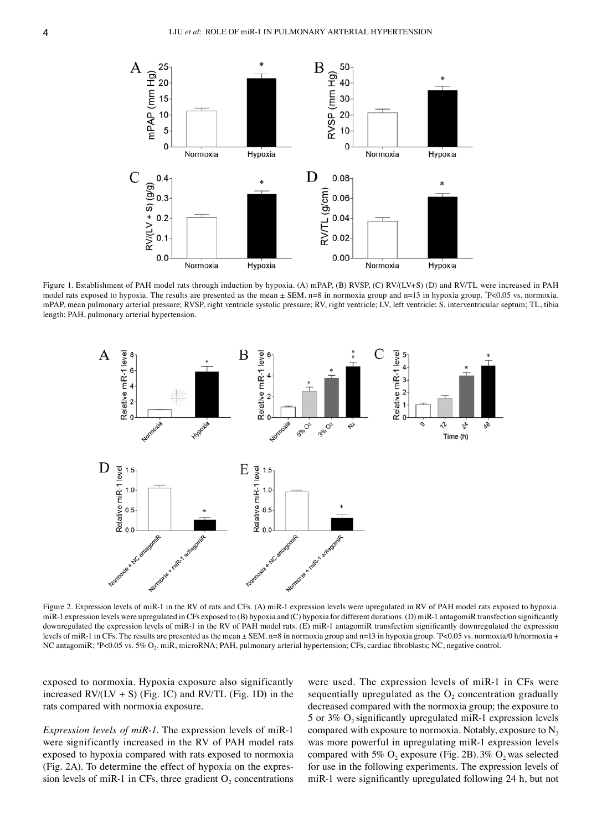

Figure 1. Establishment of PAH model rats through induction by hypoxia. (A) mPAP, (B) RVSP, (C) RV/(LV+S) (D) and RV/TL were increased in PAH model rats exposed to hypoxia. The results are presented as the mean  $\pm$  SEM. n=8 in normoxia group and n=13 in hypoxia group.  $P<0.05$  vs. normoxia. mPAP, mean pulmonary arterial pressure; RVSP, right ventricle systolic pressure; RV, right ventricle; LV, left ventricle; S, interventricular septum; TL, tibia length; PAH, pulmonary arterial hypertension.



Figure 2. Expression levels of miR‑1 in the RV of rats and CFs. (A) miR‑1 expression levels were upregulated in RV of PAH model rats exposed to hypoxia. miR-1 expression levels were upregulated in CFs exposed to (B) hypoxia and (C) hypoxia for different durations. (D) miR-1 antagomiR transfection significantly downregulated the expression levels of miR-1 in the RV of PAH model rats. (E) miR-1 antagomiR transfection significantly downregulated the expression levels of miR-1 in CFs. The results are presented as the mean ± SEM. n=8 in normoxia group and n=13 in hypoxia group. \*P<0.05 vs. normoxia/0 h/normoxia + NC antagomiR; <sup>#</sup>P<0.05 vs. 5% O<sub>2</sub>. miR, microRNA; PAH, pulmonary arterial hypertension; CFs, cardiac fibroblasts; NC, negative control.

exposed to normoxia. Hypoxia exposure also significantly increased  $RV/(LV + S)$  (Fig. 1C) and  $RV/TL$  (Fig. 1D) in the rats compared with normoxia exposure.

*Expression levels of miR-1*. The expression levels of miR-1 were significantly increased in the RV of PAH model rats exposed to hypoxia compared with rats exposed to normoxia (Fig. 2A). To determine the effect of hypoxia on the expression levels of miR-1 in CFs, three gradient  $O_2$  concentrations

were used. The expression levels of miR-1 in CFs were sequentially upregulated as the  $O<sub>2</sub>$  concentration gradually decreased compared with the normoxia group; the exposure to 5 or  $3\%$  O<sub>2</sub> significantly upregulated miR-1 expression levels compared with exposure to normoxia. Notably, exposure to  $N_2$ was more powerful in upregulating miR-1 expression levels compared with 5%  $O_2$  exposure (Fig. 2B). 3%  $O_2$  was selected for use in the following experiments. The expression levels of miR-1 were significantly upregulated following 24 h, but not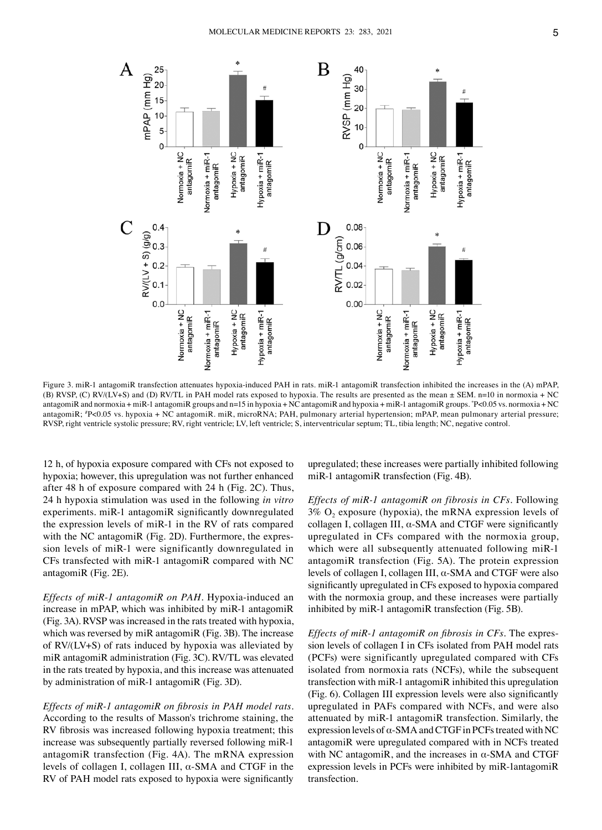

Figure 3. miR-1 antagomiR transfection attenuates hypoxia-induced PAH in rats. miR-1 antagomiR transfection inhibited the increases in the (A) mPAP, (B) RVSP, (C) RV/(LV+S) and (D) RV/TL in PAH model rats exposed to hypoxia. The results are presented as the mean ± SEM. n=10 in normoxia + NC antagomiR and normoxia + miR‑1 antagomiR groups and n=15 in hypoxia + NC antagomiR and hypoxia + miR‑1 antagomiR groups. \* P<0.05 vs. normoxia + NC antagomiR; # P<0.05 vs. hypoxia + NC antagomiR. miR, microRNA; PAH, pulmonary arterial hypertension; mPAP, mean pulmonary arterial pressure; RVSP, right ventricle systolic pressure; RV, right ventricle; LV, left ventricle; S, interventricular septum; TL, tibia length; NC, negative control.

12 h, of hypoxia exposure compared with CFs not exposed to hypoxia; however, this upregulation was not further enhanced after 48 h of exposure compared with 24 h (Fig. 2C). Thus, 24 h hypoxia stimulation was used in the following *in vitro*  experiments. miR-1 antagomiR significantly downregulated the expression levels of miR‑1 in the RV of rats compared with the NC antagomiR (Fig. 2D). Furthermore, the expression levels of miR-1 were significantly downregulated in CFs transfected with miR‑1 antagomiR compared with NC antagomiR (Fig. 2E).

*Effects of miR-1 antagomiR on PAH.* Hypoxia-induced an increase in mPAP, which was inhibited by miR-1 antagomiR (Fig. 3A). RVSP was increased in the rats treated with hypoxia, which was reversed by miR antagomiR (Fig. 3B). The increase of RV/(LV+S) of rats induced by hypoxia was alleviated by miR antagomiR administration (Fig. 3C). RV/TL was elevated in the rats treated by hypoxia, and this increase was attenuated by administration of miR‑1 antagomiR (Fig. 3D).

*Effects of miR‑1 antagomiR on fibrosis in PAH model rats.*  According to the results of Masson's trichrome staining, the RV fibrosis was increased following hypoxia treatment; this increase was subsequently partially reversed following miR‑1 antagomiR transfection (Fig. 4A). The mRNA expression levels of collagen I, collagen III,  $α$ -SMA and CTGF in the RV of PAH model rats exposed to hypoxia were significantly

upregulated; these increases were partially inhibited following miR-1 antagomiR transfection (Fig. 4B).

*Effects of miR‑1 antagomiR on fibrosis in CFs.* Following  $3\%$  O<sub>2</sub> exposure (hypoxia), the mRNA expression levels of collagen I, collagen III,  $\alpha$ -SMA and CTGF were significantly upregulated in CFs compared with the normoxia group, which were all subsequently attenuated following miR-1 antagomiR transfection (Fig. 5A). The protein expression levels of collagen I, collagen III,  $\alpha$ -SMA and CTGF were also significantly upregulated in CFs exposed to hypoxia compared with the normoxia group, and these increases were partially inhibited by miR-1 antagomiR transfection (Fig. 5B).

*Effects of miR-1 antagomiR on fibrosis in CFs.* The expression levels of collagen I in CFs isolated from PAH model rats (PCFs) were significantly upregulated compared with CFs isolated from normoxia rats (NCFs), while the subsequent transfection with miR‑1 antagomiR inhibited this upregulation (Fig. 6). Collagen III expression levels were also significantly upregulated in PAFs compared with NCFs, and were also attenuated by miR‑1 antagomiR transfection. Similarly, the expression levels of  $\alpha$ -SMA and CTGF in PCFs treated with NC antagomiR were upregulated compared with in NCFs treated with NC antagomiR, and the increases in  $\alpha$ -SMA and CTGF expression levels in PCFs were inhibited by miR‑1antagomiR transfection.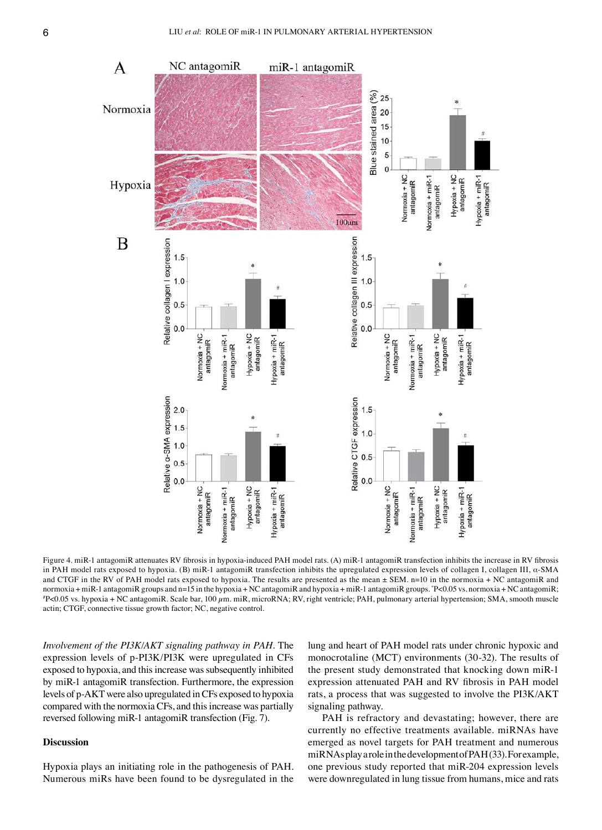

Figure 4. miR-1 antagomiR attenuates RV fibrosis in hypoxia-induced PAH model rats. (A) miR-1 antagomiR transfection inhibits the increase in RV fibrosis in PAH model rats exposed to hypoxia. (B) miR-1 antagomiR transfection inhibits the upregulated expression levels of collagen I, collagen III, α-SMA and CTGF in the RV of PAH model rats exposed to hypoxia. The results are presented as the mean  $\pm$  SEM. n=10 in the normoxia + NC antagomiR and normoxia + miR‑1 antagomiR groups and n=15 in the hypoxia + NC antagomiR and hypoxia + miR‑1 antagomiR groups. \*P<0.05 vs. normoxia + NC antagomiR;<br>\*P<0.05 vs. hypoxia + NC antagomiR. Scale bar, 100 um, miR, microRNA: RV r P<0.05 vs. hypoxia + NC antagomiR. Scale bar, 100 µm. miR, microRNA; RV, right ventricle; PAH, pulmonary arterial hypertension; SMA, smooth muscle actin; CTGF, connective tissue growth factor; NC, negative control.

*Involvement of the PI3K/AKT signaling pathway in PAH.* The expression levels of p‑PI3K/PI3K were upregulated in CFs exposed to hypoxia, and this increase was subsequently inhibited by miR‑1 antagomiR transfection. Furthermore, the expression levels of p‑AKT were also upregulated in CFs exposed to hypoxia compared with the normoxia CFs, and this increase was partially reversed following miR‑1 antagomiR transfection (Fig. 7).

## **Discussion**

Hypoxia plays an initiating role in the pathogenesis of PAH. Numerous miRs have been found to be dysregulated in the lung and heart of PAH model rats under chronic hypoxic and monocrotaline (MCT) environments (30‑32). The results of the present study demonstrated that knocking down miR‑1 expression attenuated PAH and RV fibrosis in PAH model rats, a process that was suggested to involve the PI3K/AKT signaling pathway.

PAH is refractory and devastating; however, there are currently no effective treatments available. miRNAs have emerged as novel targets for PAH treatment and numerous miRNAs play a role in the development of PAH(33). For example, one previous study reported that miR‑204 expression levels were downregulated in lung tissue from humans, mice and rats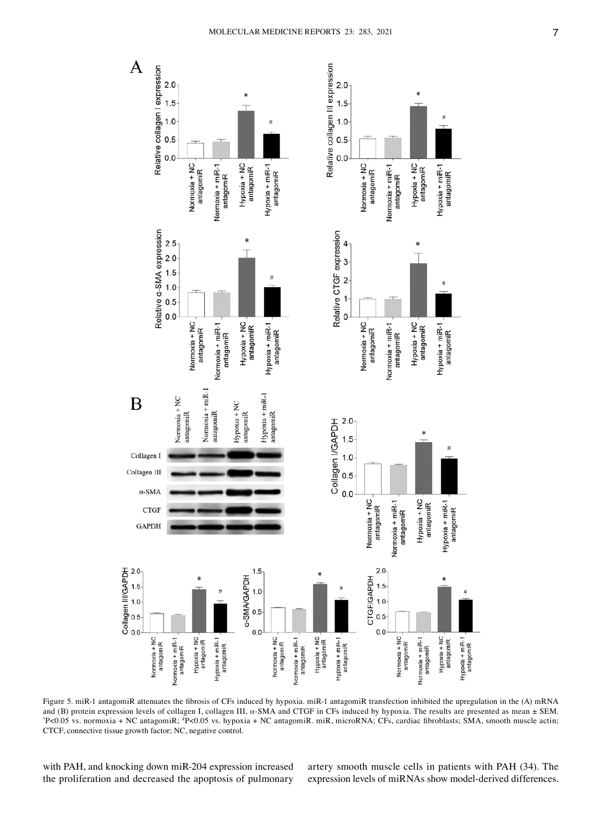

Figure 5. miR-1 antagomiR attenuates the fibrosis of CFs induced by hypoxia. miR-1 antagomiR transfection inhibited the upregulation in the (A) mRNA and (B) protein expression levels of collagen I, collagen III, α‑SMA and CTGF in CFs induced by hypoxia. The results are presented as mean ± SEM. \* P<0.05 vs. normoxia + NC antagomiR; # P<0.05 vs. hypoxia + NC antagomiR. miR, microRNA; CFs, cardiac fibroblasts; SMA, smooth muscle actin; CTCF, connective tissue growth factor; NC, negative control.

with PAH, and knocking down miR-204 expression increased the proliferation and decreased the apoptosis of pulmonary artery smooth muscle cells in patients with PAH (34). The expression levels of miRNAs show model-derived differences.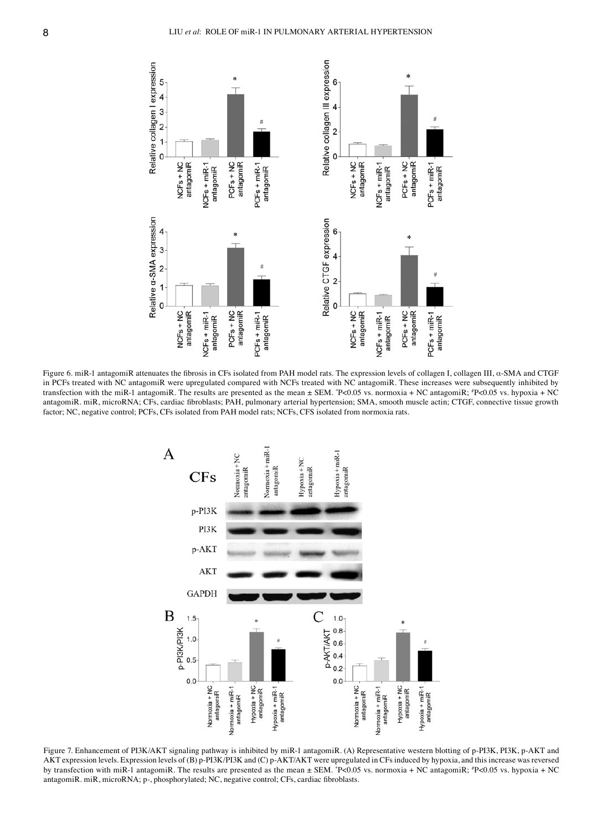

Figure 6. miR‑1 antagomiR attenuates the fibrosis in CFs isolated from PAH model rats. The expression levels of collagen I, collagen III, α‑SMA and CTGF in PCFs treated with NC antagomiR were upregulated compared with NCFs treated with NC antagomiR. These increases were subsequently inhibited by transfection with the miR-1 antagomiR. The results are presented as the mean ± SEM. \*P<0.05 vs. normoxia + NC antagomiR; \*P<0.05 vs. hypoxia + NC antagomiR. miR, microRNA; CFs, cardiac fibroblasts; PAH, pulmonary arterial hypertension; SMA, smooth muscle actin; CTGF, connective tissue growth factor; NC, negative control; PCFs, CFs isolated from PAH model rats; NCFs, CFS isolated from normoxia rats.



Figure 7. Enhancement of PI3K/AKT signaling pathway is inhibited by miR-1 antagomiR. (A) Representative western blotting of p-PI3K, PI3K, p-AKT and AKT expression levels. Expression levels of (B) p‑PI3K/PI3K and (C) p‑AKT/AKT were upregulated in CFs induced by hypoxia, and this increase was reversed by transfection with miR-1 antagomiR. The results are presented as the mean ± SEM. \*P<0.05 vs. normoxia + NC antagomiR; \*P<0.05 vs. hypoxia + NC antagomiR. miR, microRNA; p-, phosphorylated; NC, negative control; CFs, cardiac fibroblasts.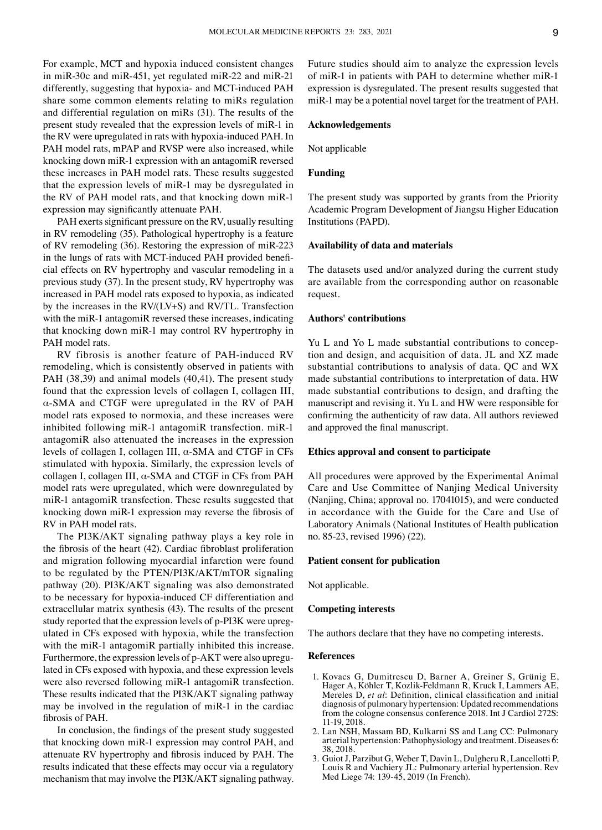For example, MCT and hypoxia induced consistent changes in miR‑30c and miR‑451, yet regulated miR‑22 and miR‑21 differently, suggesting that hypoxia‑ and MCT‑induced PAH share some common elements relating to miRs regulation and differential regulation on miRs (31). The results of the present study revealed that the expression levels of miR‑1 in the RV were upregulated in rats with hypoxia‑induced PAH. In PAH model rats, mPAP and RVSP were also increased, while knocking down miR‑1 expression with an antagomiR reversed these increases in PAH model rats. These results suggested that the expression levels of miR‑1 may be dysregulated in the RV of PAH model rats, and that knocking down miR-1 expression may significantly attenuate PAH.

PAH exerts significant pressure on the RV, usually resulting in RV remodeling (35). Pathological hypertrophy is a feature of RV remodeling (36). Restoring the expression of miR‑223 in the lungs of rats with MCT-induced PAH provided beneficial effects on RV hypertrophy and vascular remodeling in a previous study (37). In the present study, RV hypertrophy was increased in PAH model rats exposed to hypoxia, as indicated by the increases in the RV/(LV+S) and RV/TL. Transfection with the miR-1 antagomiR reversed these increases, indicating that knocking down miR‑1 may control RV hypertrophy in PAH model rats.

RV fibrosis is another feature of PAH‑induced RV remodeling, which is consistently observed in patients with PAH (38,39) and animal models (40,41). The present study found that the expression levels of collagen I, collagen III, α‑SMA and CTGF were upregulated in the RV of PAH model rats exposed to normoxia, and these increases were inhibited following miR-1 antagomiR transfection. miR-1 antagomiR also attenuated the increases in the expression levels of collagen I, collagen III, α‑SMA and CTGF in CFs stimulated with hypoxia. Similarly, the expression levels of collagen I, collagen III, α‑SMA and CTGF in CFs from PAH model rats were upregulated, which were downregulated by miR-1 antagomiR transfection. These results suggested that knocking down miR‑1 expression may reverse the fibrosis of RV in PAH model rats.

The PI3K/AKT signaling pathway plays a key role in the fibrosis of the heart (42). Cardiac fibroblast proliferation and migration following myocardial infarction were found to be regulated by the PTEN/PI3K/AKT/mTOR signaling pathway (20). PI3K/AKT signaling was also demonstrated to be necessary for hypoxia‑induced CF differentiation and extracellular matrix synthesis (43). The results of the present study reported that the expression levels of p-PI3K were upregulated in CFs exposed with hypoxia, while the transfection with the miR-1 antagomiR partially inhibited this increase. Furthermore, the expression levels of p-AKT were also upregulated in CFs exposed with hypoxia, and these expression levels were also reversed following miR-1 antagomiR transfection. These results indicated that the PI3K/AKT signaling pathway may be involved in the regulation of miR-1 in the cardiac fibrosis of PAH.

In conclusion, the findings of the present study suggested that knocking down miR‑1 expression may control PAH, and attenuate RV hypertrophy and fibrosis induced by PAH. The results indicated that these effects may occur via a regulatory mechanism that may involve the PI3K/AKT signaling pathway. Future studies should aim to analyze the expression levels of miR‑1 in patients with PAH to determine whether miR‑1 expression is dysregulated. The present results suggested that miR‑1 may be a potential novel target for the treatment of PAH.

### **Acknowledgements**

Not applicable

#### **Funding**

The present study was supported by grants from the Priority Academic Program Development of Jiangsu Higher Education Institutions (PAPD).

### **Availability of data and materials**

The datasets used and/or analyzed during the current study are available from the corresponding author on reasonable request.

#### **Authors' contributions**

Yu L and Yo L made substantial contributions to conception and design, and acquisition of data. JL and XZ made substantial contributions to analysis of data. QC and WX made substantial contributions to interpretation of data. HW made substantial contributions to design, and drafting the manuscript and revising it. Yu L and HW were responsible for confirming the authenticity of raw data. All authors reviewed and approved the final manuscript.

## **Ethics approval and consent to participate**

All procedures were approved by the Experimental Animal Care and Use Committee of Nanjing Medical University (Nanjing, China; approval no. 17041015), and were conducted in accordance with the Guide for the Care and Use of Laboratory Animals (National Institutes of Health publication no. 85‑23, revised 1996) (22).

#### **Patient consent for publication**

Not applicable.

### **Competing interests**

The authors declare that they have no competing interests.

#### **References**

- 1. Kovacs G, Dumitrescu D, Barner A, Greiner S, Grünig E, Hager A, Köhler T, Kozlik‑Feldmann R, Kruck I, Lammers AE, Mereles D, *et al*: Definition, clinical classification and initial diagnosis of pulmonary hypertension: Updated recommendations from the cologne consensus conference 2018. Int J Cardiol 272S: 11‑19, 2018.
- 2. Lan NSH, Massam BD, Kulkarni SS and Lang CC: Pulmonary arterial hypertension: Pathophysiology and treatment. Diseases 6: 38, 2018.
- 3. Guiot J, Parzibut G, Weber T, Davin L, Dulgheru R, Lancellotti P, Louis R and Vachiery JL: Pulmonary arterial hypertension. Rev Med Liege 74: 139‑45, 2019 (In French).